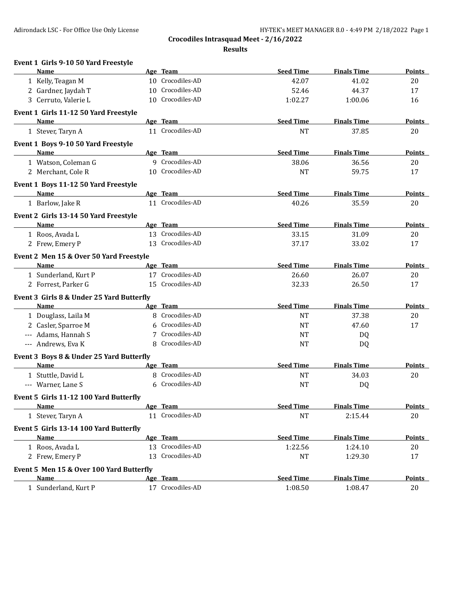**Event 1 Girls 9-10 50 Yard Freestyle**

**Crocodiles Intrasquad Meet - 2/16/2022**

**Results**

| Name                                      | Age Team         | <b>Seed Time</b> | <b>Finals Time</b> | <b>Points</b> |
|-------------------------------------------|------------------|------------------|--------------------|---------------|
| 1 Kelly, Teagan M                         | 10 Crocodiles-AD | 42.07            | 41.02              | 20            |
| 2 Gardner, Jaydah T                       | 10 Crocodiles-AD | 52.46            | 44.37              | 17            |
| 3 Cerruto, Valerie L                      | 10 Crocodiles-AD | 1:02.27          | 1:00.06            | 16            |
| Event 1 Girls 11-12 50 Yard Freestyle     |                  |                  |                    |               |
| Name                                      | Age Team         | <b>Seed Time</b> | <b>Finals Time</b> | Points        |
| 1 Stever, Taryn A                         | 11 Crocodiles-AD | <b>NT</b>        | 37.85              | 20            |
| Event 1 Boys 9-10 50 Yard Freestyle       |                  |                  |                    |               |
| Name                                      | Age Team         | <b>Seed Time</b> | <b>Finals Time</b> | <b>Points</b> |
| 1 Watson, Coleman G                       | 9 Crocodiles-AD  | 38.06            | 36.56              | 20            |
| 2 Merchant, Cole R                        | 10 Crocodiles-AD | <b>NT</b>        | 59.75              | 17            |
| Event 1 Boys 11-12 50 Yard Freestyle      |                  |                  |                    |               |
| <b>Name</b>                               | Age Team         | <b>Seed Time</b> | <b>Finals Time</b> | <b>Points</b> |
| 1 Barlow, Jake R                          | 11 Crocodiles-AD | 40.26            | 35.59              | 20            |
| Event 2 Girls 13-14 50 Yard Freestyle     |                  |                  |                    |               |
| Name                                      | Age Team         | <b>Seed Time</b> | <b>Finals Time</b> | Points        |
| 1 Roos, Avada L                           | 13 Crocodiles-AD | 33.15            | 31.09              | 20            |
| 2 Frew, Emery P                           | 13 Crocodiles-AD | 37.17            | 33.02              | 17            |
| Event 2 Men 15 & Over 50 Yard Freestyle   |                  |                  |                    |               |
| Name                                      | Age Team         | <b>Seed Time</b> | <b>Finals Time</b> | <b>Points</b> |
| 1 Sunderland, Kurt P                      | 17 Crocodiles-AD | 26.60            | 26.07              | 20            |
| 2 Forrest, Parker G                       | 15 Crocodiles-AD | 32.33            | 26.50              | 17            |
| Event 3 Girls 8 & Under 25 Yard Butterfly |                  |                  |                    |               |
| Name                                      | Age Team         | <b>Seed Time</b> | <b>Finals Time</b> | Points        |
| 1 Douglass, Laila M                       | 8 Crocodiles-AD  | <b>NT</b>        | 37.38              | 20            |
| 2 Casler, Sparroe M                       | 6 Crocodiles-AD  | NT               | 47.60              | 17            |
| --- Adams, Hannah S                       | 7 Crocodiles-AD  | NT               | DQ                 |               |
| --- Andrews, Eva K                        | 8 Crocodiles-AD  | <b>NT</b>        | DQ                 |               |
| Event 3 Boys 8 & Under 25 Yard Butterfly  |                  |                  |                    |               |
| Name                                      | Age Team         | <b>Seed Time</b> | <b>Finals Time</b> | <b>Points</b> |
| 1 Stuttle, David L                        | 8 Crocodiles-AD  | <b>NT</b>        | 34.03              | 20            |
| --- Warner, Lane S                        | 6 Crocodiles-AD  | <b>NT</b>        | DQ                 |               |
| Event 5 Girls 11-12 100 Yard Butterfly    |                  |                  |                    |               |
| <u>Name</u>                               | Age Team         | <b>Seed Time</b> | <b>Finals Time</b> | <b>Points</b> |
| 1 Stever, Taryn A                         | 11 Crocodiles-AD | <sub>NT</sub>    | 2:15.44            | 20            |
| Event 5 Girls 13-14 100 Yard Butterfly    |                  |                  |                    |               |
| Name                                      | Age Team         | <b>Seed Time</b> | <b>Finals Time</b> | <b>Points</b> |
| 1 Roos, Avada L                           | 13 Crocodiles-AD | 1:22.56          | 1:24.10            | 20            |
| 2 Frew, Emery P                           | 13 Crocodiles-AD | $\rm{NT}$        | 1:29.30            | 17            |
| Event 5 Men 15 & Over 100 Yard Butterfly  |                  |                  |                    |               |
| <b>Name</b>                               | Age Team         | <b>Seed Time</b> | <b>Finals Time</b> | <b>Points</b> |
| 1 Sunderland, Kurt P                      | 17 Crocodiles-AD | 1:08.50          | 1:08.47            | 20            |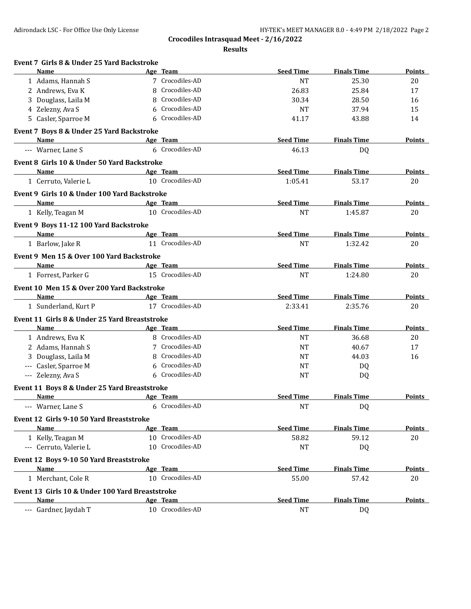**Crocodiles Intrasquad Meet - 2/16/2022**

**Results**

| Event 7 Girls 8 & Under 25 Yard Backstroke      |          |                  |                  |                    |               |
|-------------------------------------------------|----------|------------------|------------------|--------------------|---------------|
| Name                                            |          | Age Team         | <b>Seed Time</b> | <b>Finals Time</b> | Points        |
| 1 Adams, Hannah S                               |          | 7 Crocodiles-AD  | <b>NT</b>        | 25.30              | 20            |
| 2 Andrews, Eva K                                | 8        | Crocodiles-AD    | 26.83            | 25.84              | 17            |
| 3 Douglass, Laila M                             | 8        | Crocodiles-AD    | 30.34            | 28.50              | 16            |
| 4 Zelezny, Ava S                                | 6        | Crocodiles-AD    | <b>NT</b>        | 37.94              | 15            |
| 5 Casler, Sparroe M                             | 6        | Crocodiles-AD    | 41.17            | 43.88              | 14            |
| Event 7 Boys 8 & Under 25 Yard Backstroke       |          |                  |                  |                    |               |
| Name                                            | Age Team |                  | <b>Seed Time</b> | <b>Finals Time</b> | Points        |
| --- Warner, Lane S                              |          | 6 Crocodiles-AD  | 46.13            | DQ                 |               |
| Event 8 Girls 10 & Under 50 Yard Backstroke     |          |                  |                  |                    |               |
| <b>Name</b>                                     |          | Age Team         | <b>Seed Time</b> | <b>Finals Time</b> | <b>Points</b> |
| 1 Cerruto, Valerie L                            |          | 10 Crocodiles-AD | 1:05.41          | 53.17              | 20            |
| Event 9 Girls 10 & Under 100 Yard Backstroke    |          |                  |                  |                    |               |
| <b>Name</b>                                     |          | Age Team         | <b>Seed Time</b> | <b>Finals Time</b> | Points        |
| 1 Kelly, Teagan M                               |          | 10 Crocodiles-AD | <b>NT</b>        | 1:45.87            | 20            |
| Event 9 Boys 11-12 100 Yard Backstroke          |          |                  |                  |                    |               |
| Name                                            |          | Age Team         | <b>Seed Time</b> | <b>Finals Time</b> | <b>Points</b> |
| 1 Barlow, Jake R                                |          | 11 Crocodiles-AD | <b>NT</b>        | 1:32.42            | 20            |
| Event 9 Men 15 & Over 100 Yard Backstroke       |          |                  |                  |                    |               |
| Name                                            |          | Age Team         | <b>Seed Time</b> | <b>Finals Time</b> | Points        |
| 1 Forrest, Parker G                             |          | 15 Crocodiles-AD | <b>NT</b>        | 1:24.80            | 20            |
| Event 10 Men 15 & Over 200 Yard Backstroke      |          |                  |                  |                    |               |
| Name                                            | Age Team |                  | <b>Seed Time</b> | <b>Finals Time</b> | <b>Points</b> |
| 1 Sunderland, Kurt P                            |          | 17 Crocodiles-AD | 2:33.41          | 2:35.76            | 20            |
| Event 11 Girls 8 & Under 25 Yard Breaststroke   |          |                  |                  |                    |               |
| Name                                            |          | Age Team         | <b>Seed Time</b> | <b>Finals Time</b> | Points        |
| 1 Andrews, Eva K                                |          | 8 Crocodiles-AD  | <b>NT</b>        | 36.68              | 20            |
| 2 Adams, Hannah S                               |          | 7 Crocodiles-AD  | <b>NT</b>        | 40.67              | 17            |
| 3 Douglass, Laila M                             | 8        | Crocodiles-AD    | <b>NT</b>        | 44.03              | 16            |
| --- Casler, Sparroe M                           | 6        | Crocodiles-AD    | <b>NT</b>        | DQ                 |               |
| --- Zelezny, Ava S                              |          | 6 Crocodiles-AD  | <b>NT</b>        | DQ                 |               |
| Event 11 Boys 8 & Under 25 Yard Breaststroke    |          |                  |                  |                    |               |
| Name                                            |          | Age Team         | <b>Seed Time</b> | <b>Finals Time</b> | Points        |
| --- Warner, Lane S                              |          | 6 Crocodiles-AD  | <b>NT</b>        | DQ                 |               |
| Event 12 Girls 9-10 50 Yard Breaststroke        |          |                  |                  |                    |               |
| <b>Name</b>                                     |          | Age Team         | <b>Seed Time</b> | <b>Finals Time</b> | <b>Points</b> |
| 1 Kelly, Teagan M                               |          | 10 Crocodiles-AD | 58.82            | 59.12              | 20            |
| --- Cerruto, Valerie L                          |          | 10 Crocodiles-AD | <b>NT</b>        | DQ                 |               |
| Event 12 Boys 9-10 50 Yard Breaststroke         |          |                  |                  |                    |               |
| Name                                            |          | Age Team         | <b>Seed Time</b> | <b>Finals Time</b> | <b>Points</b> |
| 1 Merchant, Cole R                              |          | 10 Crocodiles-AD | 55.00            | 57.42              | 20            |
| Event 13 Girls 10 & Under 100 Yard Breaststroke |          |                  |                  |                    |               |
| Name                                            |          | Age Team         | <b>Seed Time</b> | <b>Finals Time</b> | <b>Points</b> |
| --- Gardner, Jaydah T                           |          | 10 Crocodiles-AD | <b>NT</b>        | DQ                 |               |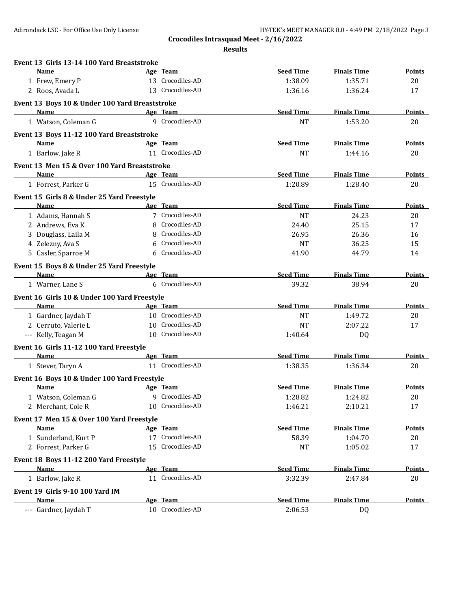**Crocodiles Intrasquad Meet - 2/16/2022**

**Results**

| Event 13 Girls 13-14 100 Yard Breaststroke        |   |                  |                  |                    |               |
|---------------------------------------------------|---|------------------|------------------|--------------------|---------------|
| <b>Name</b>                                       |   | Age Team         | <b>Seed Time</b> | <b>Finals Time</b> | Points        |
| 1 Frew, Emery P                                   |   | 13 Crocodiles-AD | 1:38.09          | 1:35.71            | 20            |
| 2 Roos, Avada L                                   |   | 13 Crocodiles-AD | 1:36.16          | 1:36.24            | 17            |
| Event 13 Boys 10 & Under 100 Yard Breaststroke    |   |                  |                  |                    |               |
| <b>Name</b>                                       |   | Age Team         | <b>Seed Time</b> | <b>Finals Time</b> | <b>Points</b> |
| 1 Watson, Coleman G                               |   | 9 Crocodiles-AD  | <b>NT</b>        | 1:53.20            | 20            |
| Event 13 Boys 11-12 100 Yard Breaststroke         |   |                  |                  |                    |               |
| <b>Name</b>                                       |   | Age Team         | <b>Seed Time</b> | <b>Finals Time</b> | Points        |
| 1 Barlow, Jake R                                  |   | 11 Crocodiles-AD | <b>NT</b>        | 1:44.16            | 20            |
| Event 13 Men 15 & Over 100 Yard Breaststroke      |   |                  |                  |                    |               |
| Name                                              |   | Age Team         | <b>Seed Time</b> | <b>Finals Time</b> | <b>Points</b> |
| 1 Forrest, Parker G                               |   | 15 Crocodiles-AD | 1:20.89          | 1:28.40            | 20            |
| Event 15 Girls 8 & Under 25 Yard Freestyle        |   |                  |                  |                    |               |
| Name                                              |   | Age Team         | <b>Seed Time</b> | <b>Finals Time</b> | <b>Points</b> |
| 1 Adams, Hannah S                                 |   | 7 Crocodiles-AD  | <b>NT</b>        | 24.23              | 20            |
| 2 Andrews, Eva K                                  | 8 | Crocodiles-AD    | 24.40            | 25.15              | 17            |
| 3 Douglass, Laila M                               | 8 | Crocodiles-AD    | 26.95            | 26.36              | 16            |
| 4 Zelezny, Ava S                                  | 6 | Crocodiles-AD    | <b>NT</b>        | 36.25              | 15            |
| 5 Casler, Sparroe M                               | 6 | Crocodiles-AD    | 41.90            | 44.79              | 14            |
| Event 15 Boys 8 & Under 25 Yard Freestyle         |   |                  |                  |                    |               |
| <b>Name</b>                                       |   | Age Team         | <b>Seed Time</b> | <b>Finals Time</b> | <b>Points</b> |
| 1 Warner, Lane S                                  |   | 6 Crocodiles-AD  | 39.32            | 38.94              | 20            |
| Event 16 Girls 10 & Under 100 Yard Freestyle      |   |                  |                  |                    |               |
| <b>Name</b>                                       |   | Age Team         | <b>Seed Time</b> | <b>Finals Time</b> | Points        |
| 1 Gardner, Jaydah T                               |   | 10 Crocodiles-AD | <b>NT</b>        | 1:49.72            | 20            |
| 2 Cerruto, Valerie L                              |   | 10 Crocodiles-AD | <b>NT</b>        | 2:07.22            | 17            |
| --- Kelly, Teagan M                               |   | 10 Crocodiles-AD | 1:40.64          | DQ                 |               |
| Event 16 Girls 11-12 100 Yard Freestyle           |   |                  |                  |                    |               |
| <b>Name</b>                                       |   | Age Team         | <b>Seed Time</b> | <b>Finals Time</b> | Points        |
| 1 Stever, Taryn A                                 |   | 11 Crocodiles-AD | 1:38.35          | 1:36.34            | 20            |
| Event 16 Boys 10 & Under 100 Yard Freestyle       |   |                  |                  |                    |               |
| Name                                              |   | Age Team         | <b>Seed Time</b> | <b>Finals Time</b> | Points        |
| 1 Watson, Coleman G                               |   | 9 Crocodiles-AD  | 1:28.82          | 1:24.82            | 20            |
| 2 Merchant, Cole R                                |   | 10 Crocodiles-AD | 1:46.21          | 2:10.21            | 17            |
|                                                   |   |                  |                  |                    |               |
| Event 17 Men 15 & Over 100 Yard Freestyle<br>Name |   | Age Team         | <b>Seed Time</b> | <b>Finals Time</b> | <b>Points</b> |
| 1 Sunderland, Kurt P                              |   | 17 Crocodiles-AD | 58.39            | 1:04.70            | 20            |
| 2 Forrest, Parker G                               |   | 15 Crocodiles-AD | <b>NT</b>        | 1:05.02            | 17            |
|                                                   |   |                  |                  |                    |               |
| Event 18 Boys 11-12 200 Yard Freestyle            |   |                  |                  |                    |               |
| <b>Name</b>                                       |   | Age Team         | <b>Seed Time</b> | <b>Finals Time</b> | <b>Points</b> |
| 1 Barlow, Jake R                                  |   | 11 Crocodiles-AD | 3:32.39          | 2:47.84            | 20            |
| <b>Event 19 Girls 9-10 100 Yard IM</b>            |   |                  |                  |                    |               |
| Name                                              |   | Age Team         | <b>Seed Time</b> | <b>Finals Time</b> | <b>Points</b> |
| --- Gardner, Jaydah T                             |   | 10 Crocodiles-AD | 2:06.53          | DQ                 |               |